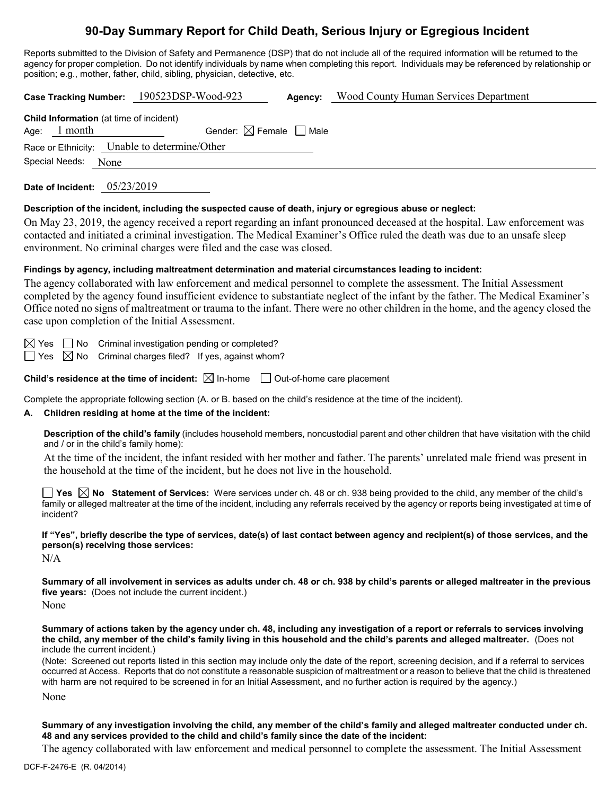# **90-Day Summary Report for Child Death, Serious Injury or Egregious Incident**

Reports submitted to the Division of Safety and Permanence (DSP) that do not include all of the required information will be returned to the agency for proper completion. Do not identify individuals by name when completing this report. Individuals may be referenced by relationship or position; e.g., mother, father, child, sibling, physician, detective, etc.

**Case Tracking Number:** 190523DSP-Wood-923 **Agency:** Wood County Human Services Department **Child Information** (at time of incident) Age: 1 month Gender:  $\boxtimes$  Female  $\Box$  Male Race or Ethnicity: Unable to determine/Other Special Needs: None **Date of Incident:** 05/23/2019

#### **Description of the incident, including the suspected cause of death, injury or egregious abuse or neglect:**

On May 23, 2019, the agency received a report regarding an infant pronounced deceased at the hospital. Law enforcement was contacted and initiated a criminal investigation. The Medical Examiner's Office ruled the death was due to an unsafe sleep environment. No criminal charges were filed and the case was closed.

#### **Findings by agency, including maltreatment determination and material circumstances leading to incident:**

The agency collaborated with law enforcement and medical personnel to complete the assessment. The Initial Assessment completed by the agency found insufficient evidence to substantiate neglect of the infant by the father. The Medical Examiner's Office noted no signs of maltreatment or trauma to the infant. There were no other children in the home, and the agency closed the case upon completion of the Initial Assessment.

 $\boxtimes$  Yes  $\Box$  No Criminal investigation pending or completed?

 $\Box$  Yes  $\boxtimes$  No Criminal charges filed? If yes, against whom?

**Child's residence at the time of incident:**  $\boxtimes$  In-home  $\Box$  Out-of-home care placement

Complete the appropriate following section (A. or B. based on the child's residence at the time of the incident).

#### **A. Children residing at home at the time of the incident:**

**Description of the child's family** (includes household members, noncustodial parent and other children that have visitation with the child and / or in the child's family home):

At the time of the incident, the infant resided with her mother and father. The parents' unrelated male friend was present in the household at the time of the incident, but he does not live in the household.

**Yes No Statement of Services:** Were services under ch. 48 or ch. 938 being provided to the child, any member of the child's family or alleged maltreater at the time of the incident, including any referrals received by the agency or reports being investigated at time of incident?

**If "Yes", briefly describe the type of services, date(s) of last contact between agency and recipient(s) of those services, and the person(s) receiving those services:**

N/A

**Summary of all involvement in services as adults under ch. 48 or ch. 938 by child's parents or alleged maltreater in the previous five years:** (Does not include the current incident.)

None

**Summary of actions taken by the agency under ch. 48, including any investigation of a report or referrals to services involving the child, any member of the child's family living in this household and the child's parents and alleged maltreater.** (Does not include the current incident.)

(Note: Screened out reports listed in this section may include only the date of the report, screening decision, and if a referral to services occurred at Access. Reports that do not constitute a reasonable suspicion of maltreatment or a reason to believe that the child is threatened with harm are not required to be screened in for an Initial Assessment, and no further action is required by the agency.)

None

**Summary of any investigation involving the child, any member of the child's family and alleged maltreater conducted under ch. 48 and any services provided to the child and child's family since the date of the incident:**

The agency collaborated with law enforcement and medical personnel to complete the assessment. The Initial Assessment